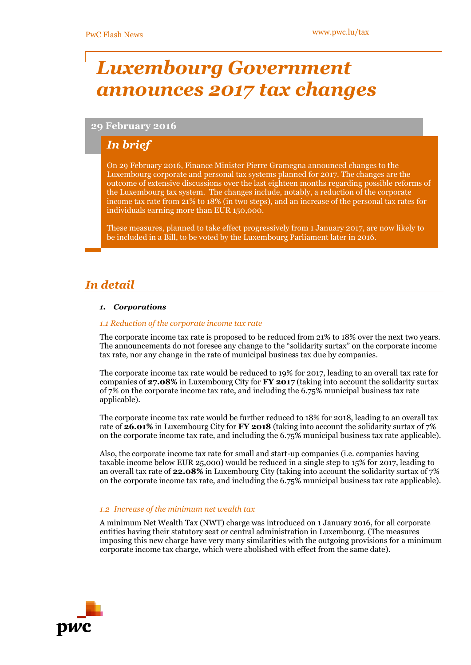# *Luxembourg Government announces 2017 tax changes*

# **29 February 2016**

# *In brief*

On 29 February 2016, Finance Minister Pierre Gramegna announced changes to the Luxembourg corporate and personal tax systems planned for 2017. The changes are the outcome of extensive discussions over the last eighteen months regarding possible reforms of the Luxembourg tax system. The changes include, notably, a reduction of the corporate income tax rate from 21% to 18% (in two steps), and an increase of the personal tax rates for individuals earning more than EUR 150,000.

These measures, planned to take effect progressively from 1 January 2017, are now likely to be included in a Bill, to be voted by the Luxembourg Parliament later in 2016.

# *In detail*

# *1. Corporations*

# *1.1 Reduction of the corporate income tax rate*

The corporate income tax rate is proposed to be reduced from 21% to 18% over the next two years. The announcements do not foresee any change to the "solidarity surtax" on the corporate income tax rate, nor any change in the rate of municipal business tax due by companies.

The corporate income tax rate would be reduced to 19% for 2017, leading to an overall tax rate for companies of **27.08%** in Luxembourg City for **FY 2017** (taking into account the solidarity surtax of 7% on the corporate income tax rate, and including the 6.75% municipal business tax rate applicable).

The corporate income tax rate would be further reduced to 18% for 2018, leading to an overall tax rate of **26.01%** in Luxembourg City for **FY 2018** (taking into account the solidarity surtax of 7% on the corporate income tax rate, and including the 6.75% municipal business tax rate applicable).

Also, the corporate income tax rate for small and start-up companies (i.e. companies having taxable income below EUR 25,000) would be reduced in a single step to 15% for 2017, leading to an overall tax rate of **22.08%** in Luxembourg City (taking into account the solidarity surtax of 7% on the corporate income tax rate, and including the 6.75% municipal business tax rate applicable).

# *1.2 Increase of the minimum net wealth tax*

A minimum Net Wealth Tax (NWT) charge was introduced on 1 January 2016, for all corporate entities having their statutory seat or central administration in Luxembourg. (The measures imposing this new charge have very many similarities with the outgoing provisions for a minimum corporate income tax charge, which were abolished with effect from the same date).

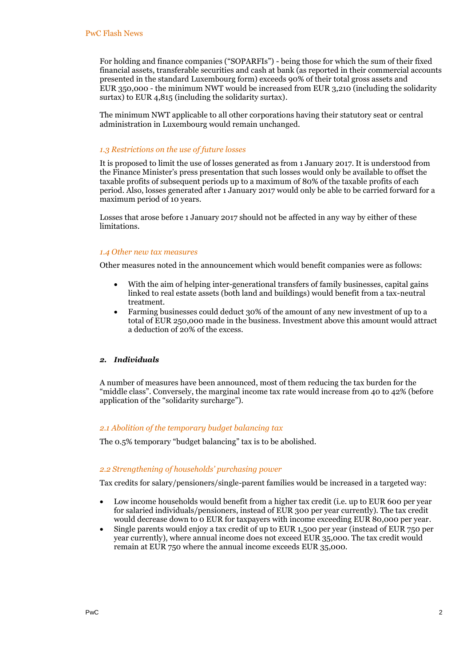For holding and finance companies ("SOPARFIs") - being those for which the sum of their fixed financial assets, transferable securities and cash at bank (as reported in their commercial accounts presented in the standard Luxembourg form) exceeds 90% of their total gross assets and EUR 350,000 - the minimum NWT would be increased from EUR 3,210 (including the solidarity surtax) to EUR 4,815 (including the solidarity surtax).

The minimum NWT applicable to all other corporations having their statutory seat or central administration in Luxembourg would remain unchanged.

# *1.3 Restrictions on the use of future losses*

It is proposed to limit the use of losses generated as from 1 January 2017. It is understood from the Finance Minister's press presentation that such losses would only be available to offset the taxable profits of subsequent periods up to a maximum of 80% of the taxable profits of each period. Also, losses generated after 1 January 2017 would only be able to be carried forward for a maximum period of 10 years.

Losses that arose before 1 January 2017 should not be affected in any way by either of these limitations.

#### *1.4 Other new tax measures*

Other measures noted in the announcement which would benefit companies were as follows:

- With the aim of helping inter-generational transfers of family businesses, capital gains linked to real estate assets (both land and buildings) would benefit from a tax-neutral treatment.
- Farming businesses could deduct 30% of the amount of any new investment of up to a total of EUR 250,000 made in the business. Investment above this amount would attract a deduction of 20% of the excess.

#### *2. Individuals*

A number of measures have been announced, most of them reducing the tax burden for the "middle class". Conversely, the marginal income tax rate would increase from 40 to 42% (before application of the "solidarity surcharge").

#### *2.1 Abolition of the temporary budget balancing tax*

The 0.5% temporary "budget balancing" tax is to be abolished.

#### *2.2 Strengthening of households' purchasing power*

Tax credits for salary/pensioners/single-parent families would be increased in a targeted way:

- Low income households would benefit from a higher tax credit (i.e. up to EUR 600 per year for salaried individuals/pensioners, instead of EUR 300 per year currently). The tax credit would decrease down to 0 EUR for taxpayers with income exceeding EUR 80,000 per year.
- Single parents would enjoy a tax credit of up to EUR 1,500 per year (instead of EUR 750 per year currently), where annual income does not exceed EUR 35,000. The tax credit would remain at EUR 750 where the annual income exceeds EUR 35,000.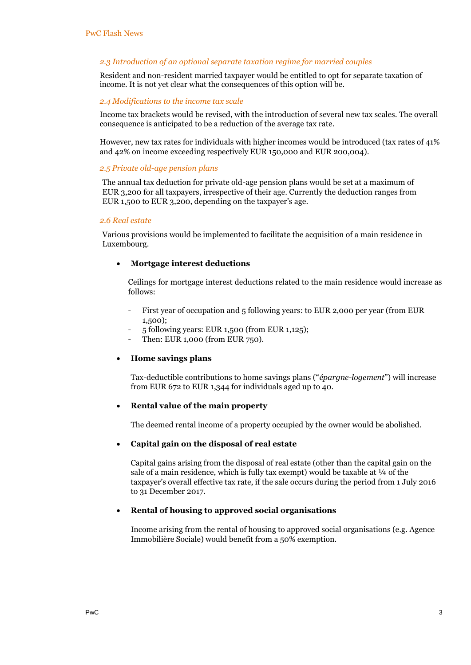# *2.3 Introduction of an optional separate taxation regime for married couples*

Resident and non-resident married taxpayer would be entitled to opt for separate taxation of income. It is not yet clear what the consequences of this option will be.

#### *2.4 Modifications to the income tax scale*

Income tax brackets would be revised, with the introduction of several new tax scales. The overall consequence is anticipated to be a reduction of the average tax rate.

However, new tax rates for individuals with higher incomes would be introduced (tax rates of 41% and 42% on income exceeding respectively EUR 150,000 and EUR 200,004).

## *2.5 Private old-age pension plans*

The annual tax deduction for private old-age pension plans would be set at a maximum of EUR 3,200 for all taxpayers, irrespective of their age. Currently the deduction ranges from EUR 1,500 to EUR 3,200, depending on the taxpayer's age.

#### *2.6 Real estate*

Various provisions would be implemented to facilitate the acquisition of a main residence in Luxembourg.

# **Mortgage interest deductions**

Ceilings for mortgage interest deductions related to the main residence would increase as follows:

- First year of occupation and 5 following years: to EUR 2,000 per year (from EUR 1,500);
- 5 following years: EUR 1,500 (from EUR 1,125);
- Then: EUR 1,000 (from EUR 750).

#### **Home savings plans**

Tax-deductible contributions to home savings plans ("*épargne-logement*") will increase from EUR 672 to EUR 1,344 for individuals aged up to 40.

# **Rental value of the main property**

The deemed rental income of a property occupied by the owner would be abolished.

# **Capital gain on the disposal of real estate**

Capital gains arising from the disposal of real estate (other than the capital gain on the sale of a main residence, which is fully tax exempt) would be taxable at  $\frac{1}{4}$  of the taxpayer's overall effective tax rate, if the sale occurs during the period from 1 July 2016 to 31 December 2017.

# **Rental of housing to approved social organisations**

Income arising from the rental of housing to approved social organisations (e.g. Agence Immobilière Sociale) would benefit from a 50% exemption.